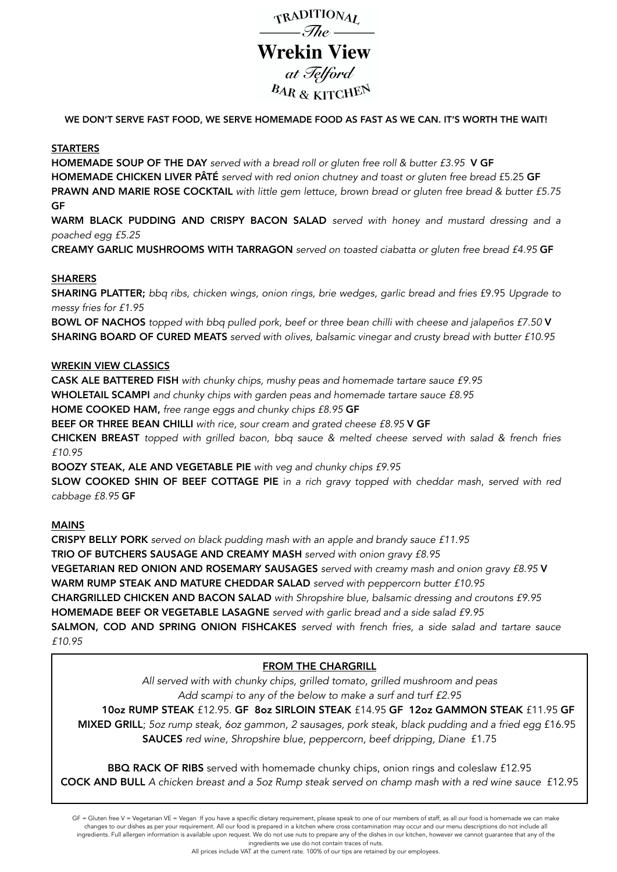

WE DON'T SERVE FAST FOOD, WE SERVE HOMEMADE FOOD AS FAST AS WE CAN. IT'S WORTH THE WAIT!

#### **STARTERS**

HOMEMADE SOUP OF THE DAY *served with a bread roll or gluten free roll & butter £3.95* V GF HOMEMADE CHICKEN LIVER PÂTÉ *served with red onion chutney and toast or gluten free bread* £5.25 GF PRAWN AND MARIE ROSE COCKTAIL *with little gem lettuce, brown bread or gluten free bread & butter £5.75*  GF

WARM BLACK PUDDING AND CRISPY BACON SALAD *served with honey and mustard dressing and a poached egg £5.25* 

CREAMY GARLIC MUSHROOMS WITH TARRAGON *served on toasted ciabatta or gluten free bread £4.95* GF

### SHARERS

SHARING PLATTER; bbq ribs, chicken wings, onion rings, brie wedges, garlic bread and fries £9.95 Upgrade to *messy fries for £1.95* 

BOWL OF NACHOS *topped with bbq pulled pork, beef or three bean chilli with cheese and jalapeños £7.50* V SHARING BOARD OF CURED MEATS *served with olives, balsamic vinegar and crusty bread with butter £10.95*

#### WREKIN VIEW CLASSICS

CASK ALE BATTERED FISH *with chunky chips, mushy peas and homemade tartare sauce £9.95*

WHOLETAIL SCAMPI *and chunky chips with garden peas and homemade tartare sauce £8.95*

HOME COOKED HAM, *free range eggs and chunky chips £8.95* GF

BEEF OR THREE BEAN CHILLI *with rice, sour cream and grated cheese £8.95* V GF

CHICKEN BREAST *topped with grilled bacon, bbq sauce & melted cheese served with salad & french fries £10.95*

BOOZY STEAK, ALE AND VEGETABLE PIE *with veg and chunky chips £9.95*

SLOW COOKED SHIN OF BEEF COTTAGE PIE i*n a rich gravy topped with cheddar mash, served with red cabbage £8.95* GF

### MAINS

CRISPY BELLY PORK *served on black pudding mash with an apple and brandy sauce £11.95* TRIO OF BUTCHERS SAUSAGE AND CREAMY MASH *served with onion gravy £8.95* VEGETARIAN RED ONION AND ROSEMARY SAUSAGES *served with creamy mash and onion gravy £8.95* V WARM RUMP STEAK AND MATURE CHEDDAR SALAD *served with peppercorn butter £10.95* CHARGRILLED CHICKEN AND BACON SALAD *with Shropshire blue, balsamic dressing and croutons £9.95* HOMEMADE BEEF OR VEGETABLE LASAGNE *served with garlic bread and a side salad £9.95* SALMON, COD AND SPRING ONION FISHCAKES *served with french fries, a side salad and tartare sauce £10.95*

### FROM THE CHARGRILL

*All served with with chunky chips, grilled tomato, grilled mushroom and peas Add scampi to any of the below to make a surf and turf £2.95* 

10oz RUMP STEAK £12.95. GF 8oz SIRLOIN STEAK £14.95 GF 12oz GAMMON STEAK £11.95 GF MIXED GRILL; *5oz rump steak, 6oz gammon, 2 sausages, pork steak, black pudding and a fried egg* £16.95 SAUCES *red wine, Shropshire blue, peppercorn, beef dripping, Diane* £1.75

BBQ RACK OF RIBS served with homemade chunky chips, onion rings and coleslaw £12.95 COCK AND BULL *A chicken breast and a 5oz Rump steak served on champ mash with a red wine sauce* £12.95

GF = Gluten free V = Vegetarian VE = Vegan If you have a specific dietary requirement, please speak to one of our members of staff, as all our food is homemade we can make changes to our dishes as per your requirement. All our food is prepared in a kitchen where cross contamination may occur and our menu descriptions do not include all ingredients. Full allergen information is available upon request. We do not use nuts to prepare any of the dishes in our kitchen, however we cannot guarantee that any of the ingredients we use do not contain traces of nuts.

All prices include VAT at the current rate. 100% of our tips are retained by our employees.